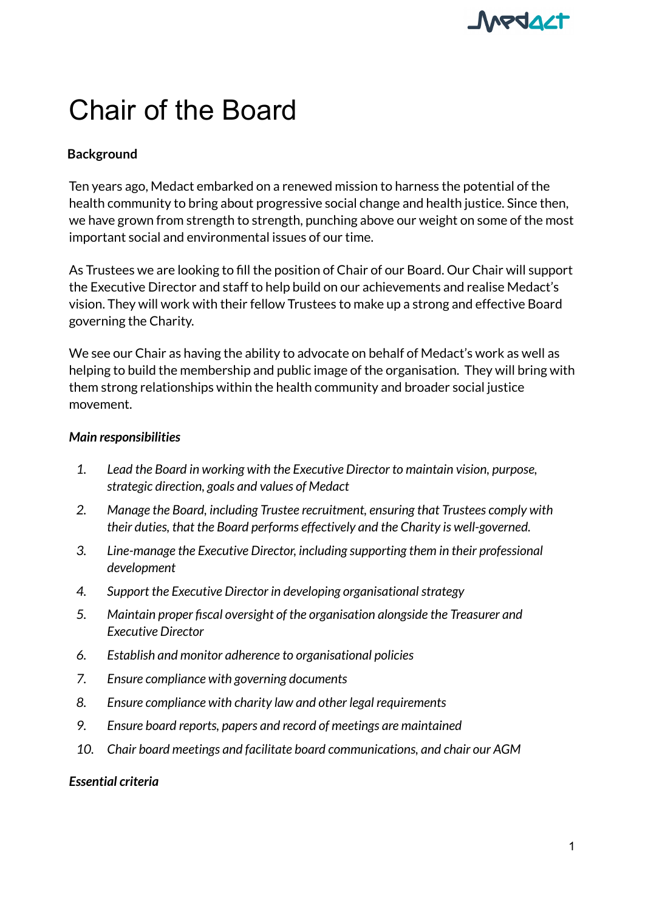

# Chair of the Board

## **Background**

Ten years ago, Medact embarked on a renewed mission to harness the potential of the health community to bring about progressive social change and health justice. Since then, we have grown from strength to strength, punching above our weight on some of the most important social and environmental issues of our time.

As Trustees we are looking to fill the position of Chair of our Board. Our Chair will support the Executive Director and staff to help build on our achievements and realise Medact's vision. They will work with their fellow Trustees to make up a strong and effective Board governing the Charity.

We see our Chair as having the ability to advocate on behalf of Medact's work as well as helping to build the membership and public image of the organisation. They will bring with them strong relationships within the health community and broader social justice movement.

#### *Main responsibilities*

- *1. Lead the Board in working with the Executive Director to maintain vision, purpose, strategic direction, goals and values of Medact*
- *2. Manage the Board, including Trustee recruitment, ensuring that Trustees comply with their duties, that the Board performs effectively and the Charity is well-governed.*
- *3. Line-manage the Executive Director, including supporting them in their professional development*
- *4. Support the Executive Director in developing organisationalstrategy*
- *5. Maintain proper fiscal oversight of the organisation alongside the Treasurer and Executive Director*
- *6. Establish and monitor adherence to organisational policies*
- *7. Ensure compliance with governing documents*
- *8. Ensure compliance with charity law and other legal requirements*
- *9. Ensure board reports, papers and record of meetings are maintained*
- *10. Chair board meetings and facilitate board communications, and chair our AGM*

#### *Essential criteria*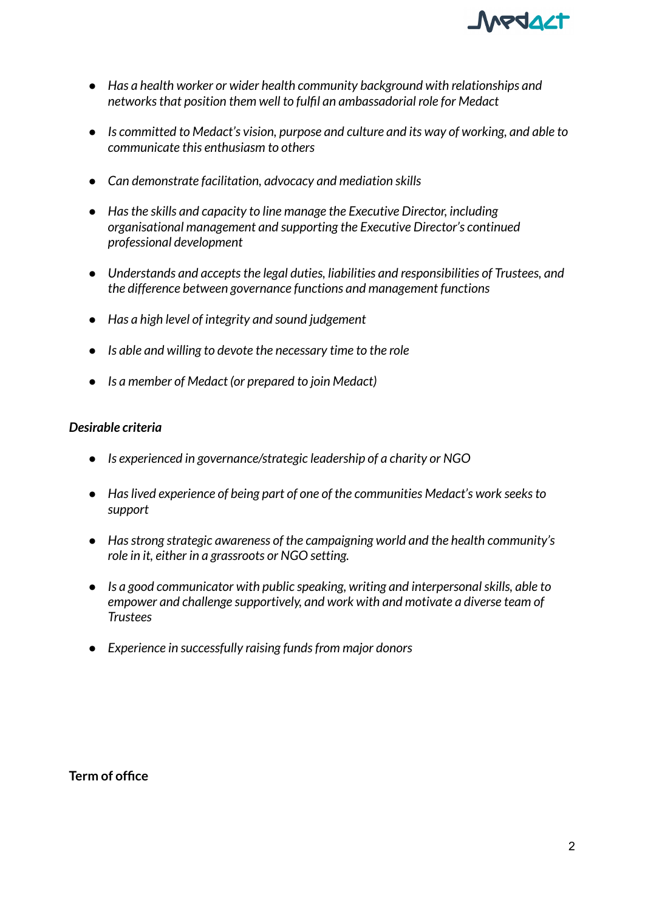

- *● Has a health worker or wider health community background with relationships and networksthat position them well to fulfil an ambassadorial role for Medact*
- *● Is committed to Medact's vision, purpose and culture and its way of working, and able to communicate this enthusiasm to others*
- *● Can demonstrate facilitation, advocacy and mediation skills*
- *● Hasthe skills and capacity to line manage the Executive Director, including organisational management and supporting the Executive Director's continued professional development*
- *● Understands and acceptsthe legal duties, liabilities and responsibilities of Trustees, and the difference between governance functions and management functions*
- *● Has a high level of integrity and sound judgement*
- *● Is able and willing to devote the necessary time to the role*
- *● Is a member of Medact (or prepared to join Medact)*

#### *Desirable criteria*

- *● Is experienced in governance/strategic leadership of a charity or NGO*
- *● Haslived experience of being part of one of the communities Medact's work seeksto support*
- *● Hasstrong strategic awareness of the campaigning world and the health community's role in it, either in a grassroots or NGO setting.*
- *● Is a good communicator with public speaking, writing and interpersonalskills, able to empower and challenge supportively, and work with and motivate a diverse team of Trustees*
- *● Experience in successfully raising fundsfrom major donors*

**Term of office**